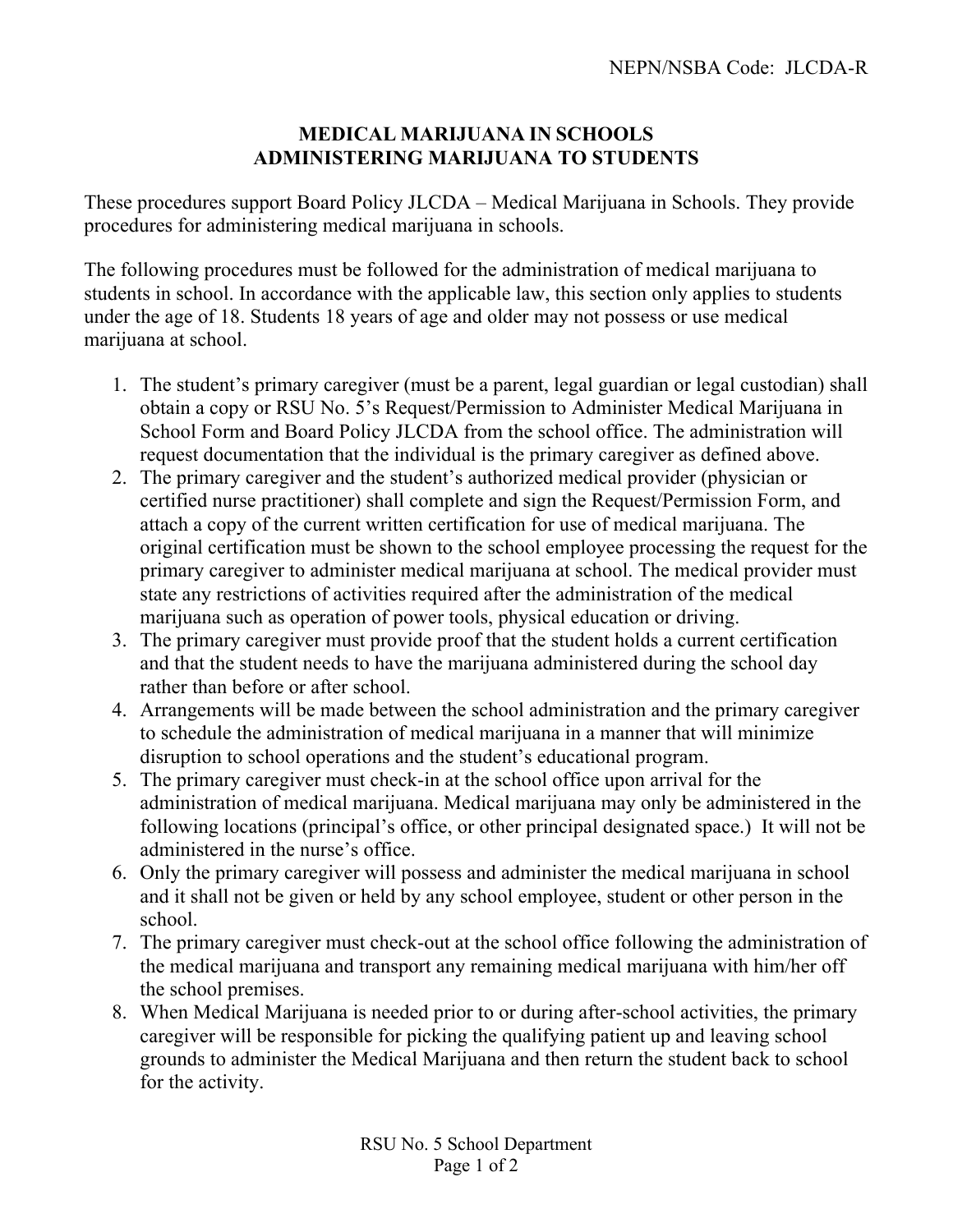## **MEDICAL MARIJUANA IN SCHOOLS ADMINISTERING MARIJUANA TO STUDENTS**

These procedures support Board Policy JLCDA – Medical Marijuana in Schools. They provide procedures for administering medical marijuana in schools.

The following procedures must be followed for the administration of medical marijuana to students in school. In accordance with the applicable law, this section only applies to students under the age of 18. Students 18 years of age and older may not possess or use medical marijuana at school.

- 1. The student's primary caregiver (must be a parent, legal guardian or legal custodian) shall obtain a copy or RSU No. 5's Request/Permission to Administer Medical Marijuana in School Form and Board Policy JLCDA from the school office. The administration will request documentation that the individual is the primary caregiver as defined above.
- 2. The primary caregiver and the student's authorized medical provider (physician or certified nurse practitioner) shall complete and sign the Request/Permission Form, and attach a copy of the current written certification for use of medical marijuana. The original certification must be shown to the school employee processing the request for the primary caregiver to administer medical marijuana at school. The medical provider must state any restrictions of activities required after the administration of the medical marijuana such as operation of power tools, physical education or driving.
- 3. The primary caregiver must provide proof that the student holds a current certification and that the student needs to have the marijuana administered during the school day rather than before or after school.
- 4. Arrangements will be made between the school administration and the primary caregiver to schedule the administration of medical marijuana in a manner that will minimize disruption to school operations and the student's educational program.
- 5. The primary caregiver must check-in at the school office upon arrival for the administration of medical marijuana. Medical marijuana may only be administered in the following locations (principal's office, or other principal designated space.) It will not be administered in the nurse's office.
- 6. Only the primary caregiver will possess and administer the medical marijuana in school and it shall not be given or held by any school employee, student or other person in the school.
- 7. The primary caregiver must check-out at the school office following the administration of the medical marijuana and transport any remaining medical marijuana with him/her off the school premises.
- 8. When Medical Marijuana is needed prior to or during after-school activities, the primary caregiver will be responsible for picking the qualifying patient up and leaving school grounds to administer the Medical Marijuana and then return the student back to school for the activity.